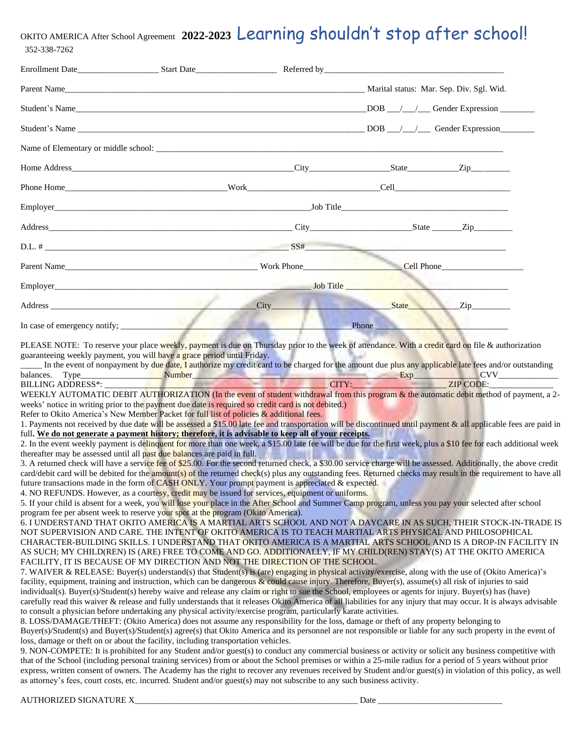#### OKITO AMERICA After School Agreement **2022-2023** Learning shouldn't stop after school! 352-338-7262

| Address City City |  |  |                                                                                                                                                                                                                               | State Zip |
|-------------------|--|--|-------------------------------------------------------------------------------------------------------------------------------------------------------------------------------------------------------------------------------|-----------|
|                   |  |  | Phone has a series of the series of the series of the series of the series of the series of the series of the series of the series of the series of the series of the series of the series of the series of the series of the |           |
|                   |  |  |                                                                                                                                                                                                                               |           |

PLEASE NOTE: To reserve your place weekly, payment is due on Thursday prior to the week of attendance. With a credit card on file & authorization guaranteeing weekly payment, you will have a grace period until Friday.

In the event of nonpayment by due date, I authorize my credit card to be charged for the amount due plus any applicable late fees and/or outstanding balances. Type\_\_\_\_\_\_\_\_\_\_\_\_\_\_\_\_\_\_\_ Number\_\_\_\_\_\_\_\_\_\_\_\_\_\_\_\_\_\_\_\_\_\_\_\_\_\_\_\_\_\_\_\_\_\_\_\_\_\_\_\_\_\_\_\_\_\_\_\_ Exp\_\_\_\_\_\_\_\_\_\_\_\_\_\_\_ CVV\_\_\_\_\_\_\_\_\_\_\_\_\_\_

BILLING ADDRESS\*: \_\_\_\_\_\_\_\_\_\_\_\_\_\_\_\_\_\_\_\_\_\_\_\_\_\_\_\_\_\_\_\_\_\_\_\_\_\_\_\_\_\_\_\_\_\_\_\_\_\_\_\_ CITY:\_\_\_\_\_\_\_\_\_\_\_\_\_\_\_\_\_\_\_\_\_\_ ZIP CODE:\_\_\_\_\_\_\_\_\_\_\_\_\_\_\_ WEEKLY AUTOMATIC DEBIT AUTHORIZATION (In the event of student withdrawal from this program & the automatic debit method of payment, a 2weeks' notice in writing prior to the payment due date is required so credit card is not debited.)

Refer to Okito America's New Member Packet for full list of policies & additional fees.

1. Payments not received by due date will be assessed a \$15.00 late fee and transportation will be discontinued until payment  $\&$  all applicable fees are paid in full**. We do not generate a payment history; therefore, it is advisable to keep all of your receipts.**

2. In the event weekly payment is delinquent for more than one week, a \$15.00 late fee will be due for the first week, plus a \$10 fee for each additional week thereafter may be assessed until all past due balances are paid in full.

3. A returned check will have a service fee of \$25.00. For the second returned check, a \$30.00 service charge will be assessed. Additionally, the above credit card/debit card will be debited for the **amount(s)** of the returned check(s) plus any outstanding fees. Returned checks may result in the requirement to have all future transactions made in the form of CASH ONLY. Your prompt payment is appreciated & expected.

4. NO REFUNDS. However, as a courtesy, credit may be issued for services, equipment or uniforms.

5. If your child is absent for a week, you will lose your place in the After School and Summer Camp program, unless you pay your selected after school program fee per absent week to reserve your spot at the program (Okito America).

6. I UNDERSTAND THAT OKITO AMERICA IS A MARTIAL ARTS SCHOOL AND NOT A DAYCARE IN AS SUCH, THEIR STOCK-IN-TRADE IS NOT SUPERVISION AND CARE. THE INTENT OF OKITO AMERICA IS TO TEACH MARTIAL ARTS PHYSICAL AND PHILOSOPHICAL CHARACTER-BUILDING SKILLS. I UNDERSTAND THAT OKITO AMERICA IS A MARTIAL ARTS SCHOOL AND IS A DROP-IN FACILITY IN AS SUCH; MY CHILD(REN) IS (ARE) FREE TO COME AND GO. ADDITIONALLY, IF MY CHILD(REN) STAY(S) AT THE OKITO AMERICA FACILITY, IT IS BECAUSE OF MY DIRECTION AND NOT THE DIRECTION OF THE SCHOOL.

7. WAIVER & RELEASE: Buyer(s) understand(s) that Student(s) is (are) engaging in physical activity/exercise, along with the use of (Okito America)'s facility, equipment, training and instruction, which can be dangerous & could cause injury. Therefore, Buyer(s), assume(s) all risk of injuries to said individual(s). Buyer(s)/Student(s) hereby waive and release any claim or right to sue the School, employees or agents for injury. Buyer(s) has (have) carefully read this waiver & release and fully understands that it releases Okito America of all liabilities for any injury that may occur. It is always advisable to consult a physician before undertaking any physical activity/exercise program, particularly karate activities.

8. LOSS/DAMAGE/THEFT: (Okito America) does not assume any responsibility for the loss, damage or theft of any property belonging to Buyer(s)/Student(s) and Buyer(s)/Student(s) agree(s) that Okito America and its personnel are not responsible or liable for any such property in the event of loss, damage or theft on or about the facility, including transportation vehicles.

9. NON-COMPETE: It is prohibited for any Student and/or guest(s) to conduct any commercial business or activity or solicit any business competitive with that of the School (including personal training services) from or about the School premises or within a 25-mile radius for a period of 5 years without prior express, written consent of owners. The Academy has the right to recover any revenues received by Student and/or guest(s) in violation of this policy, as well as attorney's fees, court costs, etc. incurred. Student and/or guest(s) may not subscribe to any such business activity.

AUTHORIZED SIGNATURE X\_\_\_\_\_\_\_\_\_\_\_\_\_\_\_\_\_\_\_\_\_\_\_\_\_\_\_\_\_\_\_\_\_\_\_\_\_\_\_\_\_\_\_\_\_\_\_\_\_\_\_\_ Date \_\_\_\_\_\_\_\_\_\_\_\_\_\_\_\_\_\_\_\_\_\_\_\_\_\_\_\_\_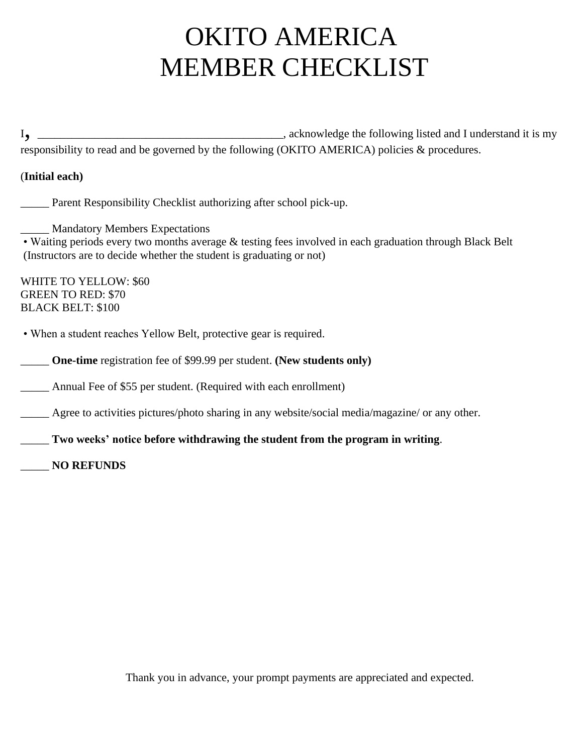## OKITO AMERICA MEMBER CHECKLIST

<sup>I</sup>, \_\_\_\_\_\_\_\_\_\_\_\_\_\_\_\_\_\_\_\_\_\_\_\_\_\_\_\_\_\_\_\_\_\_\_\_\_\_\_\_\_\_\_, acknowledge the following listed and I understand it is my responsibility to read and be governed by the following (OKITO AMERICA) policies & procedures.

#### (**Initial each)**

\_\_\_\_\_ Parent Responsibility Checklist authorizing after school pick-up.

\_\_\_\_\_ Mandatory Members Expectations

• Waiting periods every two months average & testing fees involved in each graduation through Black Belt (Instructors are to decide whether the student is graduating or not)

WHITE TO YELLOW: \$60 GREEN TO RED: \$70 BLACK BELT: \$100

• When a student reaches Yellow Belt, protective gear is required.

\_\_\_\_\_ **One-time** registration fee of \$99.99 per student. **(New students only)**

\_\_\_\_\_ Annual Fee of \$55 per student. (Required with each enrollment)

\_\_\_\_\_ Agree to activities pictures/photo sharing in any website/social media/magazine/ or any other.

\_\_\_\_\_ **Two weeks' notice before withdrawing the student from the program in writing**.

\_\_\_\_\_ **NO REFUNDS** 

Thank you in advance, your prompt payments are appreciated and expected.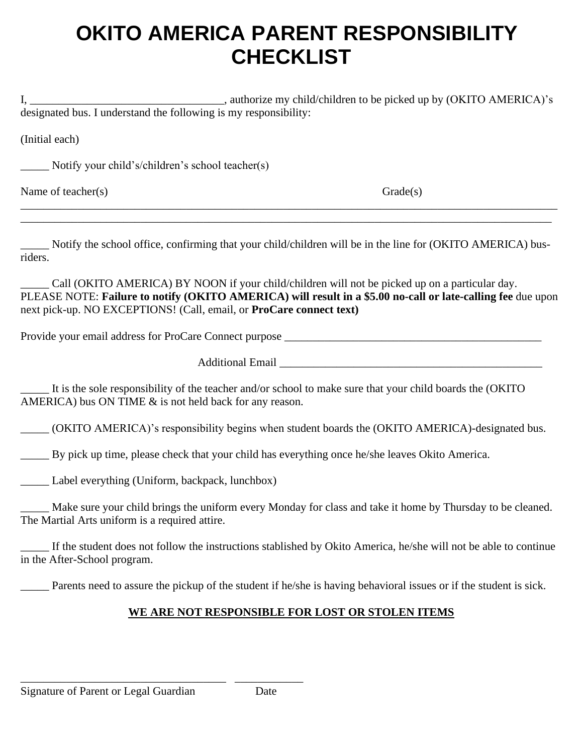### **OKITO AMERICA PARENT RESPONSIBILITY CHECKLIST**

I, authorize my child/children to be picked up by (OKITO AMERICA)'s designated bus. I understand the following is my responsibility:

(Initial each)

\_\_\_\_\_ Notify your child's/children's school teacher(s)

Name of teacher(s) Grade(s) Grade(s)

\_\_\_\_\_ Notify the school office, confirming that your child/children will be in the line for (OKITO AMERICA) busriders.

\_\_\_\_\_\_\_\_\_\_\_\_\_\_\_\_\_\_\_\_\_\_\_\_\_\_\_\_\_\_\_\_\_\_\_\_\_\_\_\_\_\_\_\_\_\_\_\_\_\_\_\_\_\_\_\_\_\_\_\_\_\_\_\_\_\_\_\_\_\_\_\_\_\_\_\_\_\_\_\_\_\_\_\_\_\_\_\_\_\_\_\_\_\_ \_\_\_\_\_\_\_\_\_\_\_\_\_\_\_\_\_\_\_\_\_\_\_\_\_\_\_\_\_\_\_\_\_\_\_\_\_\_\_\_\_\_\_\_\_\_\_\_\_\_\_\_\_\_\_\_\_\_\_\_\_\_\_\_\_\_\_\_\_\_\_\_\_\_\_\_\_\_\_\_\_\_\_\_\_\_\_\_\_\_\_\_\_

Call (OKITO AMERICA) BY NOON if your child/children will not be picked up on a particular day. PLEASE NOTE: **Failure to notify (OKITO AMERICA) will result in a \$5.00 no-call or late-calling fee** due upon next pick-up. NO EXCEPTIONS! (Call, email, or **ProCare connect text)**

Provide your email address for ProCare Connect purpose

Additional Email **Email** 

It is the sole responsibility of the teacher and/or school to make sure that your child boards the (OKITO AMERICA) bus ON TIME  $&$  is not held back for any reason.

\_\_\_\_\_ (OKITO AMERICA)'s responsibility begins when student boards the (OKITO AMERICA)-designated bus.

\_\_\_\_\_ By pick up time, please check that your child has everything once he/she leaves Okito America.

\_\_\_\_\_ Label everything (Uniform, backpack, lunchbox)

\_\_\_\_\_ Make sure your child brings the uniform every Monday for class and take it home by Thursday to be cleaned. The Martial Arts uniform is a required attire.

If the student does not follow the instructions stablished by Okito America, he/she will not be able to continue in the After-School program.

\_\_\_\_\_ Parents need to assure the pickup of the student if he/she is having behavioral issues or if the student is sick.

#### **WE ARE NOT RESPONSIBLE FOR LOST OR STOLEN ITEMS**

Signature of Parent or Legal Guardian Date

\_\_\_\_\_\_\_\_\_\_\_\_\_\_\_\_\_\_\_\_\_\_\_\_\_\_\_\_\_\_\_\_\_\_\_\_ \_\_\_\_\_\_\_\_\_\_\_\_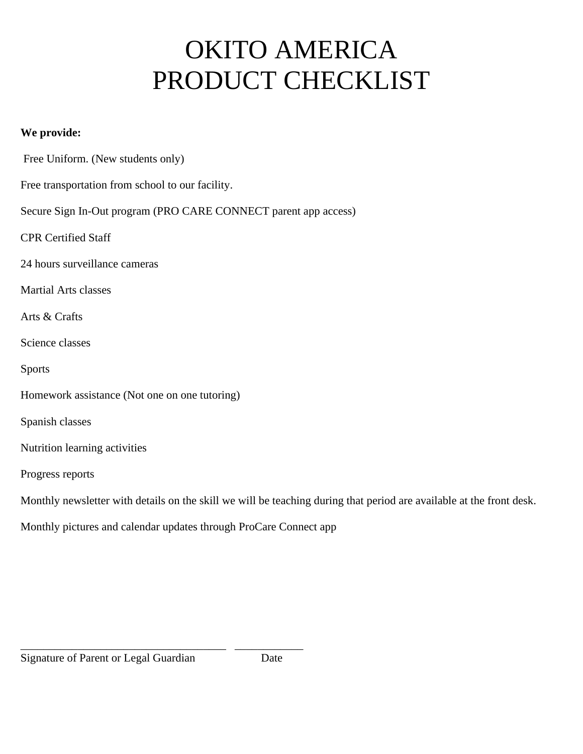# OKITO AMERICA PRODUCT CHECKLIST

#### **We provide:**

Free Uniform. (New students only)

Free transportation from school to our facility.

Secure Sign In-Out program (PRO CARE CONNECT parent app access)

CPR Certified Staff

24 hours surveillance cameras

Martial Arts classes

Arts & Crafts

Science classes

Sports

Homework assistance (Not one on one tutoring)

Spanish classes

Nutrition learning activities

Progress reports

Monthly newsletter with details on the skill we will be teaching during that period are available at the front desk.

Monthly pictures and calendar updates through ProCare Connect app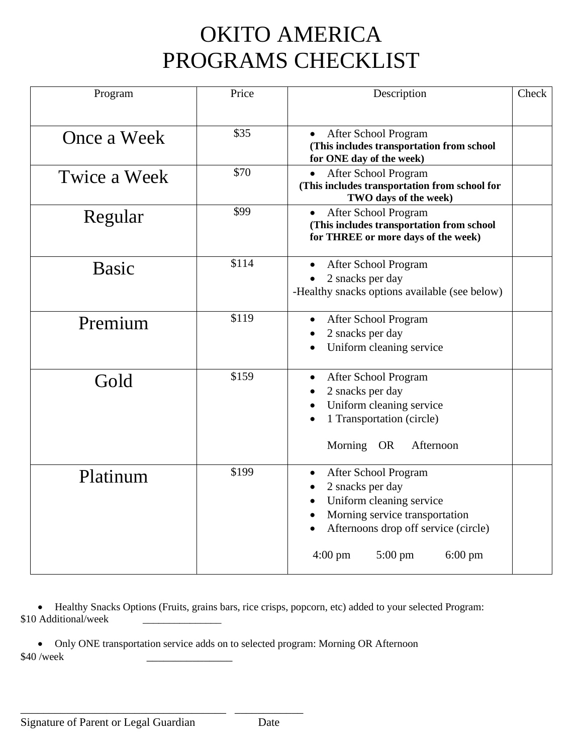## OKITO AMERICA PROGRAMS CHECKLIST

| Program      | Price | Description                                                                                                                                                                                                                | Check |
|--------------|-------|----------------------------------------------------------------------------------------------------------------------------------------------------------------------------------------------------------------------------|-------|
| Once a Week  | \$35  | After School Program<br>(This includes transportation from school<br>for ONE day of the week)                                                                                                                              |       |
| Twice a Week | \$70  | After School Program<br>$\bullet$<br>(This includes transportation from school for<br>TWO days of the week)                                                                                                                |       |
| Regular      | \$99  | After School Program<br>(This includes transportation from school<br>for THREE or more days of the week)                                                                                                                   |       |
| <b>Basic</b> | \$114 | After School Program<br>2 snacks per day<br>-Healthy snacks options available (see below)                                                                                                                                  |       |
| Premium      | \$119 | After School Program<br>$\bullet$<br>2 snacks per day<br>Uniform cleaning service                                                                                                                                          |       |
| Gold         | \$159 | After School Program<br>2 snacks per day<br>Uniform cleaning service<br>1 Transportation (circle)<br>Morning OR<br>Afternoon                                                                                               |       |
| Platinum     | \$199 | After School Program<br>$\bullet$<br>2 snacks per day<br>Uniform cleaning service<br>Morning service transportation<br>Afternoons drop off service (circle)<br>$4:00 \text{ pm}$<br>$5:00 \text{ pm}$<br>$6:00 \text{ pm}$ |       |

• Healthy Snacks Options (Fruits, grains bars, rice crisps, popcorn, etc) added to your selected Program: \$10 Additional/week

• Only ONE transportation service adds on to selected program: Morning OR Afternoon \$40 /week

\_\_\_\_\_\_\_\_\_\_\_\_\_\_\_\_\_\_\_\_\_\_\_\_\_\_\_\_\_\_\_\_\_\_\_\_ \_\_\_\_\_\_\_\_\_\_\_\_